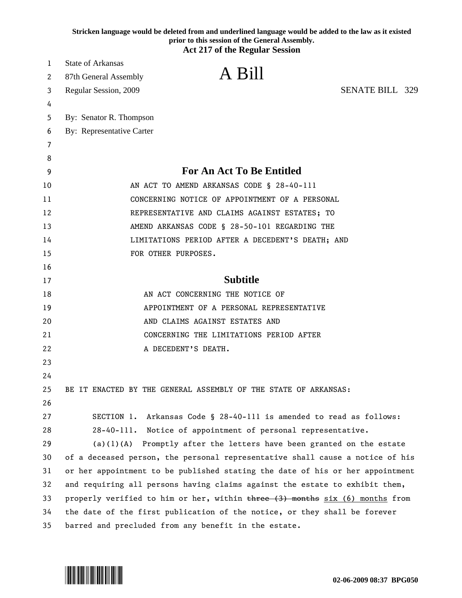|    | Stricken language would be deleted from and underlined language would be added to the law as it existed<br>prior to this session of the General Assembly. |
|----|-----------------------------------------------------------------------------------------------------------------------------------------------------------|
|    | <b>Act 217 of the Regular Session</b>                                                                                                                     |
| 1  | <b>State of Arkansas</b>                                                                                                                                  |
| 2  | A Bill<br>87th General Assembly                                                                                                                           |
| 3  | <b>SENATE BILL 329</b><br>Regular Session, 2009                                                                                                           |
| 4  |                                                                                                                                                           |
| 5  | By: Senator R. Thompson                                                                                                                                   |
| 6  | By: Representative Carter                                                                                                                                 |
| 7  |                                                                                                                                                           |
| 8  |                                                                                                                                                           |
| 9  | For An Act To Be Entitled                                                                                                                                 |
| 10 | AN ACT TO AMEND ARKANSAS CODE § 28-40-111                                                                                                                 |
| 11 | CONCERNING NOTICE OF APPOINTMENT OF A PERSONAL                                                                                                            |
| 12 | REPRESENTATIVE AND CLAIMS AGAINST ESTATES; TO                                                                                                             |
| 13 | AMEND ARKANSAS CODE § 28-50-101 REGARDING THE                                                                                                             |
| 14 | LIMITATIONS PERIOD AFTER A DECEDENT'S DEATH; AND                                                                                                          |
| 15 | FOR OTHER PURPOSES.                                                                                                                                       |
| 16 |                                                                                                                                                           |
| 17 | <b>Subtitle</b>                                                                                                                                           |
| 18 | AN ACT CONCERNING THE NOTICE OF                                                                                                                           |
| 19 | APPOINTMENT OF A PERSONAL REPRESENTATIVE                                                                                                                  |
| 20 | AND CLAIMS AGAINST ESTATES AND                                                                                                                            |
| 21 | CONCERNING THE LIMITATIONS PERIOD AFTER                                                                                                                   |
| 22 | A DECEDENT'S DEATH.                                                                                                                                       |
| 23 |                                                                                                                                                           |
| 24 |                                                                                                                                                           |
| 25 | BE IT ENACTED BY THE GENERAL ASSEMBLY OF THE STATE OF ARKANSAS:                                                                                           |
| 26 |                                                                                                                                                           |
| 27 | Arkansas Code § 28-40-111 is amended to read as follows:<br>SECTION 1.                                                                                    |
| 28 | 28-40-111. Notice of appointment of personal representative.                                                                                              |
| 29 | $(a)(1)(A)$ Promptly after the letters have been granted on the estate                                                                                    |
| 30 | of a deceased person, the personal representative shall cause a notice of his                                                                             |
| 31 | or her appointment to be published stating the date of his or her appointment                                                                             |
| 32 | and requiring all persons having claims against the estate to exhibit them,                                                                               |
| 33 | properly verified to him or her, within $t$ and $t$ and $t$ and $t$ of $(6)$ months from                                                                  |
| 34 | the date of the first publication of the notice, or they shall be forever                                                                                 |
| 35 | barred and precluded from any benefit in the estate.                                                                                                      |

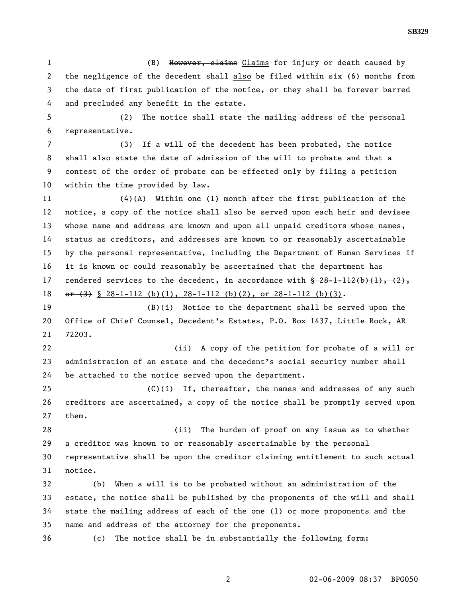1 (B) However, claims Claims for injury or death caused by 2 the negligence of the decedent shall also be filed within six (6) months from 3 the date of first publication of the notice, or they shall be forever barred 4 and precluded any benefit in the estate.

5 (2) The notice shall state the mailing address of the personal 6 representative.

7 (3) If a will of the decedent has been probated, the notice 8 shall also state the date of admission of the will to probate and that a 9 contest of the order of probate can be effected only by filing a petition 10 within the time provided by law.

11 (4)(A) Within one (1) month after the first publication of the 12 notice, a copy of the notice shall also be served upon each heir and devisee 13 whose name and address are known and upon all unpaid creditors whose names, 14 status as creditors, and addresses are known to or reasonably ascertainable 15 by the personal representative, including the Department of Human Services if 16 it is known or could reasonably be ascertained that the department has 17 rendered services to the decedent, in accordance with  $\frac{28-1-112(b)(1)}{1}, \frac{2}{5}$ 18  $\sigma$   $\rightarrow$   $\left(3\right)$  § 28-1-112 (b)(1), 28-1-112 (b)(2), or 28-1-112 (b)(3).

19 (B)(i) Notice to the department shall be served upon the 20 Office of Chief Counsel, Decedent's Estates, P.O. Box 1437, Little Rock, AR 21 72203.

22 (ii) A copy of the petition for probate of a will or 23 administration of an estate and the decedent's social security number shall 24 be attached to the notice served upon the department.

25 (C)(i) If, thereafter, the names and addresses of any such 26 creditors are ascertained, a copy of the notice shall be promptly served upon 27 them.

28 (ii) The burden of proof on any issue as to whether 29 a creditor was known to or reasonably ascertainable by the personal 30 representative shall be upon the creditor claiming entitlement to such actual 31 notice.

32 (b) When a will is to be probated without an administration of the 33 estate, the notice shall be published by the proponents of the will and shall 34 state the mailing address of each of the one (1) or more proponents and the 35 name and address of the attorney for the proponents.

36 (c) The notice shall be in substantially the following form: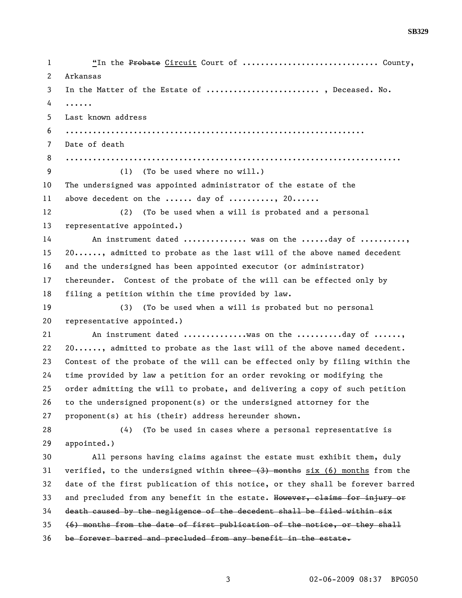| 1            | "In the Probate Circuit Court of  County,                                     |
|--------------|-------------------------------------------------------------------------------|
| $\mathbf{2}$ | Arkansas                                                                      |
| 3            | In the Matter of the Estate of  , Deceased. No.                               |
| 4            | .                                                                             |
| 5            | Last known address                                                            |
| 6            |                                                                               |
| 7            | Date of death                                                                 |
| 8            |                                                                               |
| 9            | (1) (To be used where no will.)                                               |
| 10           | The undersigned was appointed administrator of the estate of the              |
| 11           | above decedent on the  day of , 20                                            |
| 12           | (To be used when a will is probated and a personal<br>(2)                     |
| 13           | representative appointed.)                                                    |
| 14           | An instrument dated  was on the day of                                        |
| 15           | 20, admitted to probate as the last will of the above named decedent          |
| 16           | and the undersigned has been appointed executor (or administrator)            |
| 17           | thereunder. Contest of the probate of the will can be effected only by        |
| 18           | filing a petition within the time provided by law.                            |
| 19           | (3) (To be used when a will is probated but no personal                       |
| 20           | representative appointed.)                                                    |
| 21           | An instrument dated was on the day of ,                                       |
| 22           | 20, admitted to probate as the last will of the above named decedent.         |
| 23           | Contest of the probate of the will can be effected only by filing within the  |
| 24           | time provided by law a petition for an order revoking or modifying the        |
| 25           | order admitting the will to probate, and delivering a copy of such petition   |
| 26           | to the undersigned proponent(s) or the undersigned attorney for the           |
| 27           | proponent(s) at his (their) address hereunder shown.                          |
| 28           | (To be used in cases where a personal representative is<br>(4)                |
| 29           | appointed.)                                                                   |
| 30           | All persons having claims against the estate must exhibit them, duly          |
| 31           | verified, to the undersigned within three (3) months six (6) months from the  |
| 32           | date of the first publication of this notice, or they shall be forever barred |
| 33           | and precluded from any benefit in the estate. However, claims for injury or   |
| 34           | death caused by the negligence of the decedent shall be filed within six      |
| 35           | (6) months from the date of first publication of the notice, or they shall    |
| 36           | be forever barred and precluded from any benefit in the estate.               |